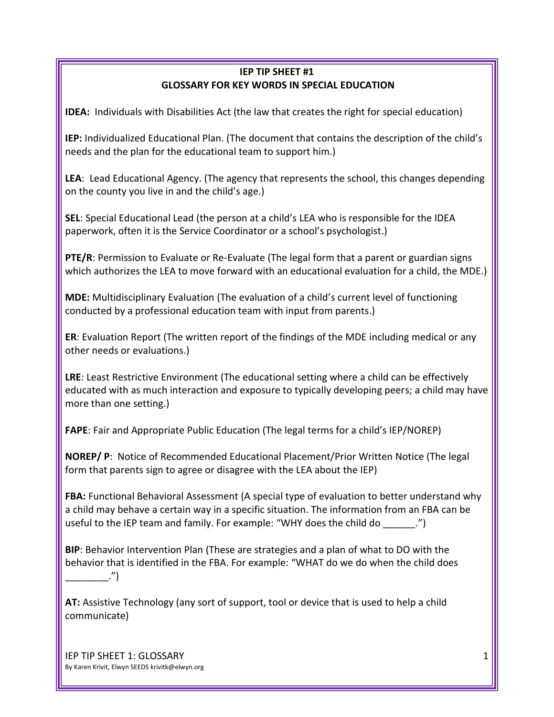## **IEP TIP SHEET #1 GLOSSARY FOR KEY WORDS IN SPECIAL EDUCATION**

**IDEA:** Individuals with Disabilities Act (the law that creates the right for special education)

**IEP:** Individualized Educational Plan. (The document that contains the description of the child's needs and the plan for the educational team to support him.)

**LEA**: Lead Educational Agency. (The agency that represents the school, this changes depending on the county you live in and the child's age.)

**SEL**: Special Educational Lead (the person at a child's LEA who is responsible for the IDEA paperwork, often it is the Service Coordinator or a school's psychologist.)

**PTE/R**: Permission to Evaluate or Re-Evaluate (The legal form that a parent or guardian signs which authorizes the LEA to move forward with an educational evaluation for a child, the MDE.)

**MDE:** Multidisciplinary Evaluation (The evaluation of a child's current level of functioning conducted by a professional education team with input from parents.)

**ER**: Evaluation Report (The written report of the findings of the MDE including medical or any other needs or evaluations.)

**LRE**: Least Restrictive Environment (The educational setting where a child can be effectively educated with as much interaction and exposure to typically developing peers; a child may have more than one setting.)

**FAPE**: Fair and Appropriate Public Education (The legal terms for a child's IEP/NOREP)

**NOREP/ P**: Notice of Recommended Educational Placement/Prior Written Notice (The legal form that parents sign to agree or disagree with the LEA about the IEP)

**FBA:** Functional Behavioral Assessment (A special type of evaluation to better understand why a child may behave a certain way in a specific situation. The information from an FBA can be useful to the IEP team and family. For example: "WHY does the child do \_\_\_\_\_\_.")

**BIP**: Behavior Intervention Plan (These are strategies and a plan of what to DO with the behavior that is identified in the FBA. For example: "WHAT do we do when the child does  $\ldots$ ")

**AT:** Assistive Technology (any sort of support, tool or device that is used to help a child communicate)

IEP TIP SHEET 1: GLOSSARY By Karen Krivit, Elwyn SEEDS krivitk@elwyn.org